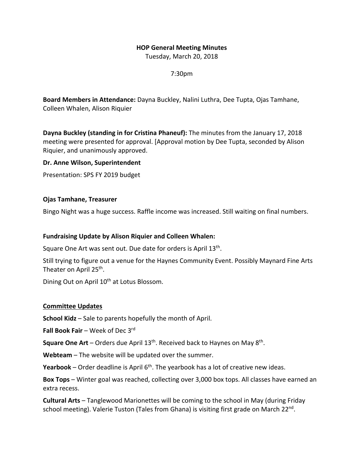## **HOP General Meeting Minutes**

Tuesday, March 20, 2018

7:30pm

**Board Members in Attendance:** Dayna Buckley, Nalini Luthra, Dee Tupta, Ojas Tamhane, Colleen Whalen, Alison Riquier

**Dayna Buckley (standing in for Cristina Phaneuf):** The minutes from the January 17, 2018 meeting were presented for approval. [Approval motion by Dee Tupta, seconded by Alison Riquier, and unanimously approved.

**Dr. Anne Wilson, Superintendent**

Presentation: SPS FY 2019 budget

**Ojas Tamhane, Treasurer**

Bingo Night was a huge success. Raffle income was increased. Still waiting on final numbers.

## **Fundraising Update by Alison Riquier and Colleen Whalen:**

Square One Art was sent out. Due date for orders is April 13<sup>th</sup>.

Still trying to figure out a venue for the Haynes Community Event. Possibly Maynard Fine Arts Theater on April 25<sup>th</sup>.

Dining Out on April 10<sup>th</sup> at Lotus Blossom.

## **Committee Updates**

**School Kidz** – Sale to parents hopefully the month of April.

**Fall Book Fair** – Week of Dec 3rd

**Square One Art** – Orders due April 13<sup>th</sup>. Received back to Haynes on May 8<sup>th</sup>.

**Webteam** – The website will be updated over the summer.

**Yearbook** – Order deadline is April  $6<sup>th</sup>$ . The yearbook has a lot of creative new ideas.

**Box Tops** – Winter goal was reached, collecting over 3,000 box tops. All classes have earned an extra recess.

**Cultural Arts** – Tanglewood Marionettes will be coming to the school in May (during Friday school meeting). Valerie Tuston (Tales from Ghana) is visiting first grade on March  $22^{\text{nd}}$ .